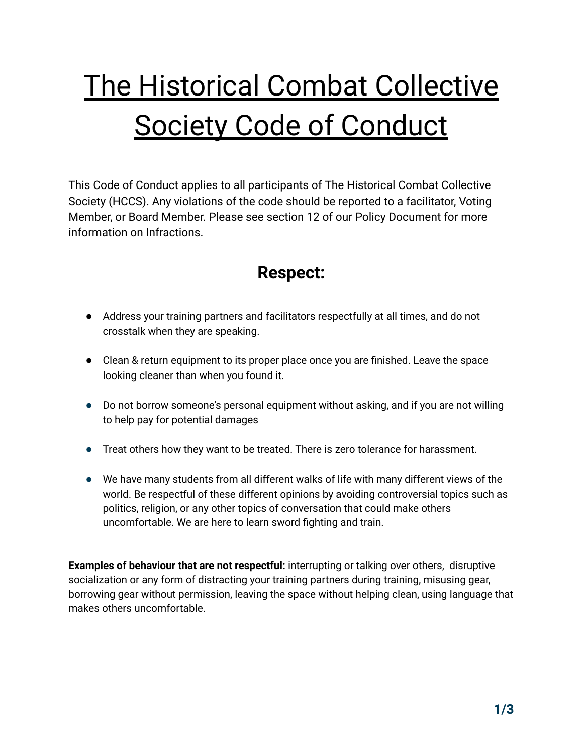# The Historical Combat Collective Society Code of Conduct

This Code of Conduct applies to all participants of The Historical Combat Collective Society (HCCS). Any violations of the code should be reported to a facilitator, Voting Member, or Board Member. Please see section 12 of our Policy Document for more information on Infractions.

### **Respect:**

- Address your training partners and facilitators respectfully at all times, and do not crosstalk when they are speaking.
- Clean & return equipment to its proper place once you are finished. Leave the space looking cleaner than when you found it.
- Do not borrow someone's personal equipment without asking, and if you are not willing to help pay for potential damages
- Treat others how they want to be treated. There is zero tolerance for harassment.
- We have many students from all different walks of life with many different views of the world. Be respectful of these different opinions by avoiding controversial topics such as politics, religion, or any other topics of conversation that could make others uncomfortable. We are here to learn sword fighting and train.

**Examples of behaviour that are not respectful:** interrupting or talking over others, disruptive socialization or any form of distracting your training partners during training, misusing gear, borrowing gear without permission, leaving the space without helping clean, using language that makes others uncomfortable.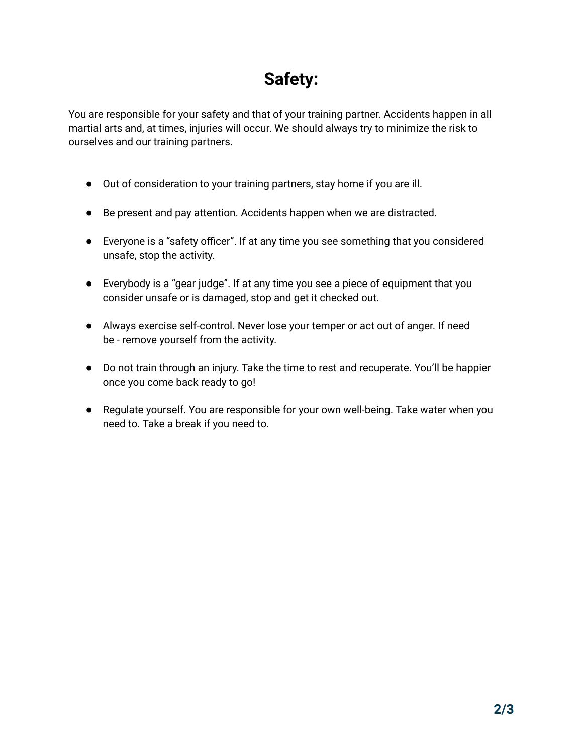# **Safety:**

You are responsible for your safety and that of your training partner. Accidents happen in all martial arts and, at times, injuries will occur. We should always try to minimize the risk to ourselves and our training partners.

- Out of consideration to your training partners, stay home if you are ill.
- Be present and pay attention. Accidents happen when we are distracted.
- Everyone is a "safety officer". If at any time you see something that you considered unsafe, stop the activity.
- Everybody is a "gear judge". If at any time you see a piece of equipment that you consider unsafe or is damaged, stop and get it checked out.
- Always exercise self-control. Never lose your temper or act out of anger. If need be - remove yourself from the activity.
- Do not train through an injury. Take the time to rest and recuperate. You'll be happier once you come back ready to go!
- Regulate yourself. You are responsible for your own well-being. Take water when you need to. Take a break if you need to.